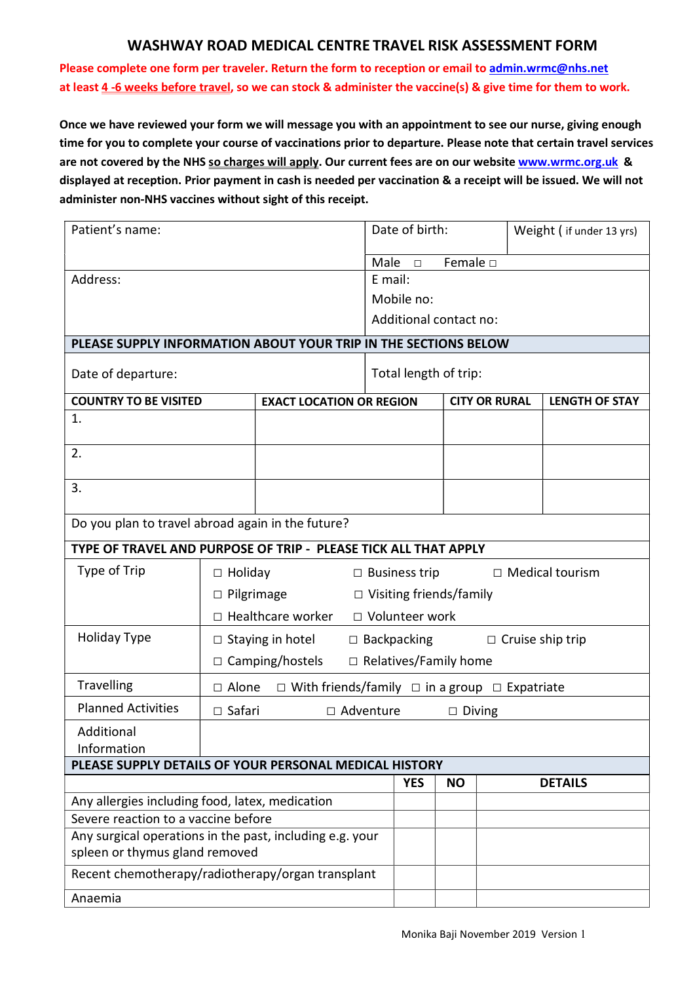## WASHWAY ROAD MEDICAL CENTRE TRAVEL RISK ASSESSMENT FORM

Please complete one form per traveler. Return the form to reception or email to admin.wrmc@nhs.net at least 4 -6 weeks before travel, so we can stock & administer the vaccine(s) & give time for them to work.

Once we have reviewed your form we will message you with an appointment to see our nurse, giving enough time for you to complete your course of vaccinations prior to departure. Please note that certain travel services are not covered by the NHS so charges will apply. Our current fees are on our website www.wrmc.org.uk & displayed at reception. Prior payment in cash is needed per vaccination & a receipt will be issued. We will not administer non-NHS vaccines without sight of this receipt.

| Patient's name:                                                                                 |                                                                                            |  |                                               | Date of birth: |                  |  | Weight ( if under 13 yrs) |                |
|-------------------------------------------------------------------------------------------------|--------------------------------------------------------------------------------------------|--|-----------------------------------------------|----------------|------------------|--|---------------------------|----------------|
|                                                                                                 |                                                                                            |  | Male                                          | $\Box$         | Female $\square$ |  |                           |                |
| Address:                                                                                        |                                                                                            |  | E mail:                                       |                |                  |  |                           |                |
|                                                                                                 |                                                                                            |  | Mobile no:                                    |                |                  |  |                           |                |
|                                                                                                 |                                                                                            |  | Additional contact no:                        |                |                  |  |                           |                |
| PLEASE SUPPLY INFORMATION ABOUT YOUR TRIP IN THE SECTIONS BELOW                                 |                                                                                            |  |                                               |                |                  |  |                           |                |
| Date of departure:                                                                              |                                                                                            |  | Total length of trip:                         |                |                  |  |                           |                |
| <b>COUNTRY TO BE VISITED</b><br><b>EXACT LOCATION OR REGION</b>                                 |                                                                                            |  | <b>CITY OR RURAL</b><br><b>LENGTH OF STAY</b> |                |                  |  |                           |                |
| 1.                                                                                              |                                                                                            |  |                                               |                |                  |  |                           |                |
| 2.                                                                                              |                                                                                            |  |                                               |                |                  |  |                           |                |
| 3.                                                                                              |                                                                                            |  |                                               |                |                  |  |                           |                |
| Do you plan to travel abroad again in the future?                                               |                                                                                            |  |                                               |                |                  |  |                           |                |
| TYPE OF TRAVEL AND PURPOSE OF TRIP - PLEASE TICK ALL THAT APPLY                                 |                                                                                            |  |                                               |                |                  |  |                           |                |
| Type of Trip                                                                                    | $\Box$ Medical tourism<br>$\Box$ Holiday<br>$\Box$ Business trip                           |  |                                               |                |                  |  |                           |                |
|                                                                                                 | $\Box$ Pilgrimage<br>$\Box$ Visiting friends/family                                        |  |                                               |                |                  |  |                           |                |
|                                                                                                 | $\Box$ Healthcare worker<br>□ Volunteer work                                               |  |                                               |                |                  |  |                           |                |
| <b>Holiday Type</b>                                                                             | $\Box$ Backpacking<br>$\Box$ Staying in hotel<br>$\Box$ Cruise ship trip                   |  |                                               |                |                  |  |                           |                |
|                                                                                                 | □ Camping/hostels<br>$\Box$ Relatives/Family home                                          |  |                                               |                |                  |  |                           |                |
| Travelling                                                                                      | $\square$ With friends/family $\square$ in a group $\square$ Expatriate<br>$\square$ Alone |  |                                               |                |                  |  |                           |                |
| <b>Planned Activities</b>                                                                       | $\Box$ Safari<br>□ Adventure<br>$\Box$ Diving                                              |  |                                               |                |                  |  |                           |                |
| Additional                                                                                      |                                                                                            |  |                                               |                |                  |  |                           |                |
| Information                                                                                     |                                                                                            |  |                                               |                |                  |  |                           |                |
| PLEASE SUPPLY DETAILS OF YOUR PERSONAL MEDICAL HISTORY                                          |                                                                                            |  |                                               |                |                  |  |                           |                |
|                                                                                                 |                                                                                            |  |                                               | <b>YES</b>     | <b>NO</b>        |  |                           | <b>DETAILS</b> |
| Any allergies including food, latex, medication                                                 |                                                                                            |  |                                               |                |                  |  |                           |                |
| Severe reaction to a vaccine before<br>Any surgical operations in the past, including e.g. your |                                                                                            |  |                                               |                |                  |  |                           |                |
| spleen or thymus gland removed                                                                  |                                                                                            |  |                                               |                |                  |  |                           |                |
| Recent chemotherapy/radiotherapy/organ transplant                                               |                                                                                            |  |                                               |                |                  |  |                           |                |
| Anaemia                                                                                         |                                                                                            |  |                                               |                |                  |  |                           |                |